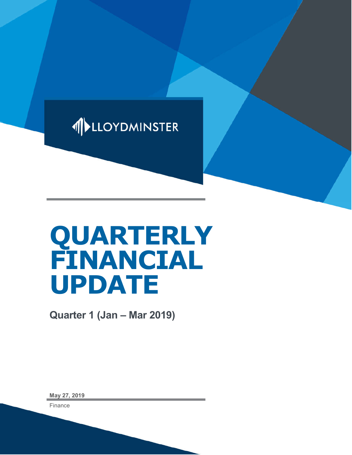

# **QUARTERLY FINANCIAL UPDATE**

**Quarter 1 (Jan – Mar 2019)**

**May 27, 2019**

Finance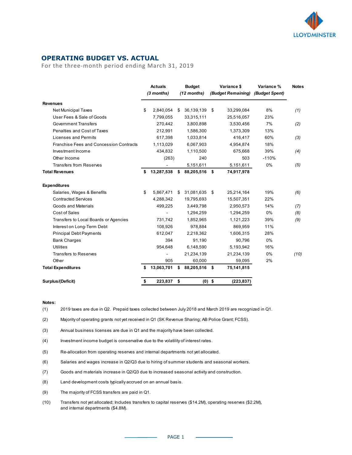

## **OPERATING BUDGET VS. ACTUAL**

For the three-month period ending March 31, 2019

|                                         |    | <b>Actuals</b><br>(3 months) | <b>Budget</b><br>$(12$ months) |          | Variance \$<br>(Budget Remaining) | Variance %<br>(Budget Spent) | <b>Notes</b> |
|-----------------------------------------|----|------------------------------|--------------------------------|----------|-----------------------------------|------------------------------|--------------|
| <b>Revenues</b>                         |    |                              |                                |          |                                   |                              |              |
| <b>Net Municipal Taxes</b>              | \$ | 2,840,054                    | \$<br>36,139,139               | \$       | 33,299,084                        | 8%                           | (1)          |
| User Fees & Sale of Goods               |    | 7,799,055                    | 33,315,111                     |          | 25,516,057                        | 23%                          |              |
| <b>Government Transfers</b>             |    | 270,442                      | 3,800,898                      |          | 3,530,456                         | 7%                           | (2)          |
| <b>Penalties and Cost of Taxes</b>      |    | 212,991                      | 1,586,300                      |          | 1,373,309                         | 13%                          |              |
| Licenses and Permits                    |    | 617,398                      | 1,033,814                      |          | 416,417                           | 60%                          | (3)          |
| Franchise Fees and Concession Contracts |    | 1,113,029                    | 6,067,903                      |          | 4,954,874                         | 18%                          |              |
| Investment Income                       |    | 434,832                      | 1,110,500                      |          | 675,668                           | 39%                          | (4)          |
| Other Income                            |    | (263)                        | 240                            |          | 503                               | $-110%$                      |              |
| <b>Transfers from Reserves</b>          |    |                              | 5,151,611                      |          | 5,151,611                         | 0%                           | (5)          |
| <b>Total Revenues</b>                   | \$ | 13,287,538                   | \$<br>88,205,516 \$            |          | 74,917,978                        |                              |              |
| <b>Expenditures</b>                     |    |                              |                                |          |                                   |                              |              |
| Salaries, Wages & Benefits              | \$ | 5,867,471                    | \$<br>31,081,635               | \$       | 25,214,164                        | 19%                          | (6)          |
| <b>Contracted Services</b>              |    | 4,288,342                    | 19,795,693                     |          | 15,507,351                        | 22%                          |              |
| Goods and Materials                     |    | 499,225                      | 3,449,798                      |          | 2,950,573                         | 14%                          | (7)          |
| Cost of Sales                           |    |                              | 1,294,259                      |          | 1,294,259                         | 0%                           | (8)          |
| Transfers to Local Boards or Agencies   |    | 731,742                      | 1,852,965                      |          | 1,121,223                         | 39%                          | (9)          |
| Interest on Long-Term Debt              |    | 108,926                      | 978,884                        |          | 869,959                           | 11%                          |              |
| <b>Principal Debt Payments</b>          |    | 612,047                      | 2,218,362                      |          | 1,606,315                         | 28%                          |              |
| <b>Bank Charges</b>                     |    | 394                          | 91,190                         |          | 90,796                            | 0%                           |              |
| <b>Utilities</b>                        |    | 954,648                      | 6,148,590                      |          | 5,193,942                         | 16%                          |              |
| <b>Transfers to Reserves</b>            |    |                              | 21,234,139                     |          | 21,234,139                        | 0%                           | (10)         |
| Other                                   |    | 905                          | 60,000                         |          | 59,095                            | 2%                           |              |
| <b>Total Expenditures</b>               | \$ | 13,063,701                   | \$<br>88,205,516 \$            |          | 75,141,815                        |                              |              |
| Surplus/(Deficit)                       | \$ | 223,837                      | \$                             | $(0)$ \$ | (223, 837)                        |                              |              |

#### **Notes:**

(1) 2019 taxes are due in Q2. Prepaid taxes collected between July 2018 and March 2019 are recognized in Q1.

(2) Majority of operating grants not yet received in Q1 (SK Revenue Sharing; AB Police Grant; FCSS).

(3) Annual business licenses are due in Q1 and the majority have been collected.

(4) Investment income budget is conservative due to the volatility of interest rates.

(5) Re-allocation from operating reserves and internal departments not yet allocated.

(6) Salaries and wages increase in Q2/Q3 due to hiring of summer students and seasonal workers.

(7) Goods and materials increase in Q2/Q3 due to increased seasonal activity and construction.

(8) Land development costs typically accrued on an annual basis.

(9) The majority of FCSS transfers are paid in Q1.

(10) Transfers not yet allocated; Includes transfers to capital reserves (\$14.2M), operating reserves (\$2.2M), and internal departments (\$4.8M).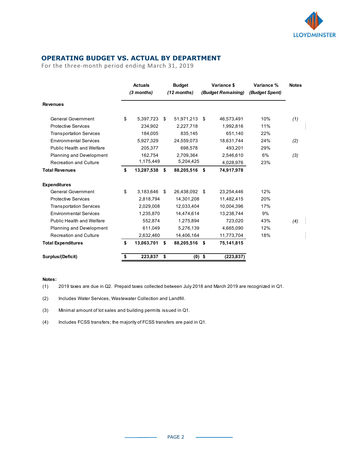

## **OPERATING BUDGET VS. ACTUAL BY DEPARTMENT**

For the three-month period ending March 31, 2019

|                                  |    | <b>Actuals</b><br>$(3$ months) |     | <b>Budget</b><br>$(12$ months) | Variance \$<br>(Budget Remaining) |            | Variance %<br>(Budget Spent) | <b>Notes</b> |
|----------------------------------|----|--------------------------------|-----|--------------------------------|-----------------------------------|------------|------------------------------|--------------|
| <b>Revenues</b>                  |    |                                |     |                                |                                   |            |                              |              |
| General Government               | \$ | 5,397,723                      | \$  | 51,971,213                     | - \$                              | 46,573,491 | 10%                          | (1)          |
| <b>Protective Services</b>       |    | 234,902                        |     | 2,227,718                      |                                   | 1,992,816  | 11%                          |              |
| <b>Transportation Services</b>   |    | 184.005                        |     | 835,145                        |                                   | 651,140    | 22%                          |              |
| <b>Environmental Services</b>    |    | 5,927,329                      |     | 24,559,073                     |                                   | 18,631,744 | 24%                          | (2)          |
| <b>Public Health and Welfare</b> |    | 205,377                        |     | 698,578                        |                                   | 493,201    | 29%                          |              |
| Planning and Development         |    | 162,754                        |     | 2,709,364                      |                                   | 2,546,610  | 6%                           | (3)          |
| <b>Recreation and Culture</b>    |    | 1,175,449                      |     | 5,204,425                      |                                   | 4,028,976  | 23%                          |              |
| <b>Total Revenues</b>            | \$ | 13,287,538                     | \$  | 88,205,516                     | - \$                              | 74,917,978 |                              |              |
| <b>Expenditures</b>              |    |                                |     |                                |                                   |            |                              |              |
| General Government               | \$ | 3,183,646                      | -\$ | 26,438,092                     | - \$                              | 23,254,446 | 12%                          |              |
| <b>Protective Services</b>       |    | 2,818,794                      |     | 14,301,208                     |                                   | 11,482,415 | 20%                          |              |
| <b>Transportation Services</b>   |    | 2,029,008                      |     | 12,033,404                     |                                   | 10.004.396 | 17%                          |              |
| <b>Environmental Services</b>    |    | 1,235,870                      |     | 14,474,614                     |                                   | 13,238,744 | 9%                           |              |
| <b>Public Health and Welfare</b> |    | 552,874                        |     | 1,275,894                      |                                   | 723,020    | 43%                          | (4)          |
| Planning and Development         |    | 611,049                        |     | 5,276,139                      |                                   | 4,665,090  | 12%                          |              |
| <b>Recreation and Culture</b>    |    | 2,632,460                      |     | 14,406,164                     |                                   | 11,773,704 | 18%                          |              |
| <b>Total Expenditures</b>        | \$ | 13,063,701                     | \$  | 88,205,516 \$                  |                                   | 75,141,815 |                              |              |
| Surplus/(Deficit)                | \$ | 223,837                        | \$  | $(0)$ \$                       |                                   | (223, 837) |                              |              |

#### **Notes:**

(1) 2019 taxes are due in Q2. Prepaid taxes collected between July 2018 and March 2019 are recognized in Q1.

(2) Includes Water Services, Wastewater Collection and Landfill.

(3) Minimal amount of lot sales and building permits issued in Q1.

(4) Includes FCSS transfers; the majority of FCSS transfers are paid in Q1.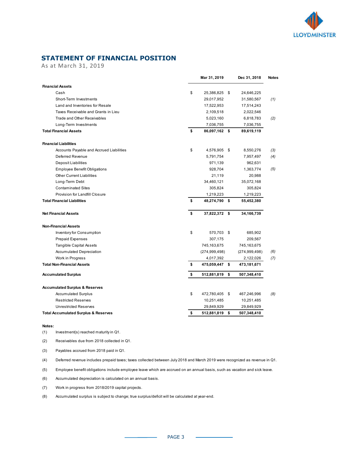

## **STATEMENT OF FINANCIAL POSITION**

As at March 31, 2019

|                                                 | Mar 31, 2019         |     | Dec 31, 2018    | <b>Notes</b> |
|-------------------------------------------------|----------------------|-----|-----------------|--------------|
| <b>Financial Assets</b>                         |                      |     |                 |              |
| Cash                                            | \$<br>25,386,825     | -\$ | 24,646,225      |              |
| Short-Term Investments                          | 29,017,952           |     | 31,580,567      | (1)          |
| Land and Inventories for Resale                 | 17,522,953           |     | 17,514,243      |              |
| Taxes Receivable and Grants in Lieu             | 2,109,518            |     | 2,022,546       |              |
| Trade and Other Receivables                     | 5,023,160            |     | 6,818,783       | (2)          |
| Long-Term Investments                           | 7,036,755            |     | 7,036,755       |              |
| <b>Total Financial Assets</b>                   | \$<br>86,097,162 \$  |     | 89,619,119      |              |
| <b>Financial Liabilities</b>                    |                      |     |                 |              |
| Accounts Payable and Accrued Liabilities        | \$<br>4,576,905      | -\$ | 8,550,276       | (3)          |
| Deferred Revenue                                | 5,791,754            |     | 7,957,497       | (4)          |
| Deposit Liabilities                             | 971,139              |     | 962,631         |              |
| <b>Employee Benefit Obligations</b>             | 928,704              |     | 1,363,774       | (5)          |
| <b>Other Current Liabilities</b>                | 21,119               |     | 20,988          |              |
| Long-Term Debt                                  | 34,460,121           |     | 35,072,168      |              |
| <b>Contaminated Sites</b>                       | 305,824              |     | 305,824         |              |
| <b>Provision for Landfill Closure</b>           | 1,219,223            |     | 1,219,223       |              |
| <b>Total Financial Liabilities</b>              | \$<br>48,274,790 \$  |     | 55,452,380      |              |
| <b>Net Financial Assets</b>                     | \$<br>37,822,372 \$  |     | 34,166,739      |              |
| <b>Non-Financial Assets</b>                     |                      |     |                 |              |
| Inventory for Consumption                       | \$<br>570,703 \$     |     | 685,902         |              |
| <b>Prepaid Expenses</b>                         | 307,175              |     | 209,567         |              |
| <b>Tangible Capital Assets</b>                  | 745,163,675          |     | 745,163,675     |              |
| <b>Accumulated Depreciation</b>                 | (274, 999, 498)      |     | (274, 999, 498) | (6)          |
| Work in Progress                                | 4,017,392            |     | 2,122,026       | (7)          |
| <b>Total Non-Financial Assets</b>               | \$<br>475,059,447 \$ |     | 473,181,671     |              |
| <b>Accumulated Surplus</b>                      | \$<br>512,881,819    | \$  | 507,348,410     |              |
| <b>Accumulated Surplus &amp; Reserves</b>       |                      |     |                 |              |
| <b>Accumulated Surplus</b>                      | \$<br>472,780,405    | -\$ | 467,246,996     | (8)          |
| <b>Restricted Reserves</b>                      | 10,251,485           |     | 10,251,485      |              |
| <b>Unrestricted Reserves</b>                    | 29,849,929           |     | 29,849,929      |              |
| <b>Total Accumulated Surplus &amp; Reserves</b> | \$<br>512,881,819    | \$  | 507,348,410     |              |

#### **Notes:**

(1) Investment(s) reached maturity in Q1.

(2) Receivables due from 2018 collected in Q1.

(3) Payables accrued from 2018 paid in Q1.

(4) Deferred revenue includes prepaid taxes; taxes collected between July 2018 and March 2019 were recognized as revenue in Q1.

(5) Employee benefit obligations include employee leave which are accrued on an annual basis, such as vacation and sick leave.

(6) Accumulated depreciation is calculated on an annual basis.

(7) Work in progress from 2018/2019 capital projects.

(8) Accumulated surplus is subject to change; true surplus/deficit will be calculated at year-end.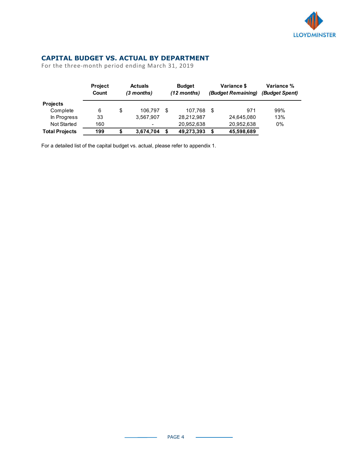

## **CAPITAL BUDGET VS. ACTUAL BY DEPARTMENT**

For the three-month period ending March 31, 2019

|                       | <b>Project</b><br>Count | <b>Actuals</b><br>$(3$ months) |                          | <b>Budget</b><br>$(12$ months) | Variance \$<br>(Budget Remaining) |    | Variance %<br>(Budget Spent) |     |
|-----------------------|-------------------------|--------------------------------|--------------------------|--------------------------------|-----------------------------------|----|------------------------------|-----|
| <b>Projects</b>       |                         |                                |                          |                                |                                   |    |                              |     |
| Complete              | 6                       | \$                             | 106.797                  | \$                             | 107.768                           | \$ | 971                          | 99% |
| In Progress           | 33                      |                                | 3,567,907                |                                | 28,212,987                        |    | 24,645,080                   | 13% |
| <b>Not Started</b>    | 160                     |                                | $\overline{\phantom{0}}$ |                                | 20,952,638                        |    | 20,952,638                   | 0%  |
| <b>Total Projects</b> | 199                     |                                | 3,674,704                | \$                             | 49,273,393                        | S  | 45,598,689                   |     |

For a detailed list of the capital budget vs. actual, please refer to appendix 1.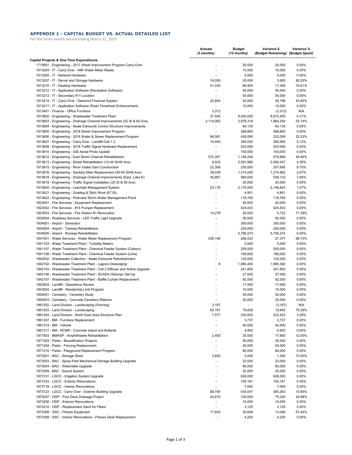#### **APPENDIX 1 - CAPITAL BUDGET VS. ACTUAL DETAILED LIST**

For the three-month period ending March 31, 2019

|                                                                                                                                             | <b>Actuals</b><br>(3 months)   | <b>Budget</b><br>(12 months) | Variance \$<br>(Budget Remaining) (Budget Spent) | Variance %      |
|---------------------------------------------------------------------------------------------------------------------------------------------|--------------------------------|------------------------------|--------------------------------------------------|-----------------|
| Capital Projects & One-Time Expenditures                                                                                                    |                                |                              |                                                  |                 |
| 1713601 - Engineering - 2017 Street Improvement Program Carry-Over                                                                          | ÷                              | 20,000                       | 20,000                                           | 0.00%           |
| 1813204 - IT - Carry Over - AMI Water Meter Reads                                                                                           | ٠                              | 10,000                       | 10,000                                           | 0.00%           |
| 1813205 - IT - Network Hardware                                                                                                             |                                | 5,000                        | 5,000                                            | 0.00%           |
| 1813207 - IT - Server and Storage Hardware                                                                                                  | 16,050                         | 20,000                       | 3,950                                            | 80.25%          |
| 1813210 - IT - Desktop Hardware                                                                                                             | 51,035                         | 68,400                       | 17,365                                           | 74.61%          |
| 1813212 - IT - Application Software (Recreation Software)<br>1813213 - IT - Secondary 911 Location                                          | $\blacksquare$                 | 55,000<br>55,000             | 55,000<br>55,000                                 | 0.00%<br>0.00%  |
| 1813214 - IT - Carry Over - Diamond Financial System                                                                                        | 22,804                         | 52,000                       | 29,196                                           | 43.85%          |
| 1813217 - IT - Application Software (Pearl Timesheet Enhancement)                                                                           | $\blacksquare$                 | 10,000                       | 10,000                                           | 0.00%           |
| 1813401 - Finance - Office Furniture                                                                                                        | 3,312                          | $\blacksquare$               | (3,312)                                          | N/A             |
| 1813602 - Engineering - Wastewater Treatment Plant                                                                                          | 27.545                         | 9,000,000                    | 8,972,455                                        | 0.31%           |
| 1813603 - Engineering - Drainage Channel Improvements (52 St & 62 Ave)                                                                      | 2,114,062                      | 3,978,316                    | 1,864,254                                        | 53.14%          |
| 1813604 - Engineering - Neale Edmunds Control Structure Improvements                                                                        |                                | 64,130                       | 64,130                                           | 0.00%           |
| 1813605 - Engineering - 2018 Street Improvement Program                                                                                     | ÷.                             | 368,800                      | 368,800                                          | 0.00%           |
| 1813606 - Engineering - 2018 Water & Sewer Replacement Program                                                                              | 96,581                         | 428,590                      | 332,009                                          | 22.53%          |
| 1813607 - Engineering - Carry Over - Landfill Cell 1.3                                                                                      | 19,440                         | 380,000                      | 360,560                                          | 5.12%           |
| 1813608 - Engineering - 2018 Traffic Signal Hardware Replacement                                                                            | ٠                              | 203,000                      | 203,000                                          | 0.00%           |
| 1813610 - Engineering - GIS Aerial Photo Update                                                                                             |                                | 100,000                      | 100,000                                          | 0.00%           |
| 1813612 - Engineering - East Storm Channel Rehabilitation                                                                                   | 572,357                        | 1,148,246                    | 575,889                                          | 49.85%          |
| 1813613 - Engineering - Street Rehabilitation (12-44 St/40 Ave)                                                                             | 9,933                          | 2,591,980                    | 2,582,047                                        | 0.38%           |
| 1813615 - Engineering - River Intake Dam Construction                                                                                       | 22,306                         | 230,000                      | 207,695                                          | 9.70%           |
| 1813616 - Engineering - Sanitary Main Replacement (36-40 St/48 Ave)                                                                         | 39,038                         | 1,314,000                    | 1,274,962                                        | 2.97%           |
| 1813618 - Engineering - Drainage Channel Improvements (East, Lake K)                                                                        | 45,867<br>$\sim$               | 585,000                      | 539.133                                          | 7.84%           |
| 1813619 - Engineering - Traffic Signal Installation (25 St & 59 Ave)<br>1813620 - Engineering - Leachate Management System                  | 23,176                         | 20,000<br>2,170,000          | 20,000<br>2,146,824                              | 0.00%<br>1.07%  |
| 1813621 - Engineering - Grading & Ditch Work (67 St)                                                                                        | ٠                              | 4,851                        | 4,851                                            | 0.00%           |
| 1813622 - Engineering - Parkview Storm Water Management Pond                                                                                | $\sim$                         | 116,760                      | 116,760                                          | 0.00%           |
| 1823001 - Fire Services - Equipment Replacement                                                                                             | $\overline{a}$                 | 40,000                       | 40,000                                           | 0.00%           |
| 1823002 - Fire Services - #14 Pumper Replacement                                                                                            | $\tilde{\phantom{a}}$          | 424,833                      | 424,833                                          | 0.00%           |
| 1823003 - Fire Services - Fire Station #1 Renovation                                                                                        | 14,278                         | 20,000                       | 5,722                                            | 71.39%          |
| 1832004 - Roadway Services - LED Traffic Light Upgrade                                                                                      | $\sim$                         | 50,000                       | 50,000                                           | 0.00%           |
| 1834001 - Airport - Generator                                                                                                               | $\overline{\phantom{a}}$       | 300,000                      | 300,000                                          | 0.00%           |
| 1834004 - Airport - Taxiway Rehabilitation                                                                                                  | $\tilde{\phantom{a}}$          | 250,000                      | 250,000                                          | 0.00%           |
| 1834005 - Airport - Runway Rehabilitation                                                                                                   |                                | 5,790,274                    | 5,790,274                                        | 0.00%           |
| 1841001 - Water Services - Water Meter Replacement Program                                                                                  | 239,146                        | 266,523                      | 27,377                                           | 89.73%          |
| 1841103 - Water Treatment Plant - Turbidity Meters                                                                                          |                                | 5,000                        | 5,000                                            | 0.00%           |
| 1841107 - Water Treatment Plant - Chemical Feeder System (Carbon)                                                                           |                                | 205,000                      | 205,000                                          | 0.00%           |
| 1841108 - Water Treatment Plant - Chemical Feeder System (Lime)                                                                             | ÷,                             | 195,000                      | 195,000                                          | 0.00%           |
| 1842002 - Wastewater Collection - Neale Edmunds Refurbishment                                                                               | ÷,                             | 120,000                      | 120,000                                          | 0.00%           |
| 1842102 - Wastewater Treatment Plant - Lagoon Desludging                                                                                    | 8<br>÷.                        | 1,880,400                    | 1,880,392                                        | 0.00%           |
| 1842103 - Wastewater Treatment Plant - Cell 2 Diffuser and Airline Upgrade<br>1842106 - Wastewater Treatment Plant - SCADA Historian Set-Up |                                | 241,800                      | 241,800                                          | 0.00%           |
| 1842107 - Wastewater Treatment Plant - Baffle Curtain Replacement                                                                           |                                | 27,000<br>92,000             | 27,000<br>92,000                                 | 0.00%<br>0.00%  |
| 1843003 - Landfill - Operations Review                                                                                                      |                                | 17,000                       | 17,000                                           | 0.00%           |
| 1843004 - Landfill - Residential Limit Program                                                                                              |                                | 10,000                       | 10,000                                           | 0.00%           |
| 1854001 - Cemetery - Cemetery Study                                                                                                         |                                | 50,000                       | 50,000                                           | 0.00%           |
| 1854003 - Cemetery - Concrete Cemetery Ribbons                                                                                              |                                | 20,000                       | 20,000                                           | 0.00%           |
| 1861202 - Land Division - Landscaping (Fencing)                                                                                             | 3,187                          |                              | (3, 187)                                         | N/A             |
| 1861203 - Land Division - Landscaping                                                                                                       | 60,191                         | 79,836                       | 19,645                                           | 75.39%          |
| 1861204 - Land Division - North East Area Structure Plan                                                                                    | 7,577                          | 230,000                      | 222,423                                          | 3.29%           |
| 1861307 - BM - Furniture Replacement                                                                                                        | ٠                              | 3,737                        | 3,737                                            | 0.00%           |
| 1861314 - BM - Vehicle                                                                                                                      | $\overline{\phantom{a}}$       | 40,000                       | 40,000                                           | 0.00%           |
| 1861317 - BM - RCMP - Concrete Island and Bollards                                                                                          | ٠                              | 4,902                        | 4,902                                            | 0.00%           |
| 1871003 - BMASP - Amphitheatre Rehabilitation                                                                                               | 2,400                          | 20,000                       | 17,600                                           | 12.00%          |
| 1871203 - Parks - Beautification Projects                                                                                                   | ٠                              | 30,000                       | 30,000                                           | 0.00%           |
| 1871204 - Parks - Fencing Replacement                                                                                                       | $\overline{\phantom{a}}$<br>÷, | 20,000                       | 20,000                                           | 0.00%           |
| 1871210 - Parks - Playground Replacement Program<br>1873001 - BAC - Storage Shed                                                            | 3,650                          | 60,000<br>5,000              | 60,000<br>1,350                                  | 0.00%<br>73.00% |
| 1873003 - BAC - Spray Park Mechanical Storage Building Upgrade                                                                              | ä,                             | 23,000                       | 23,000                                           | 0.00%           |
| 1873004 - BAC - Waterslide Upgrade                                                                                                          | $\overline{\phantom{a}}$       | 90,000                       | 90,000                                           | 0.00%           |
| 1873009 - BAC - Sound System                                                                                                                |                                | 20,000                       | 20,000                                           | 0.00%           |
| 1873101 - LGCC - Irrigation System Upgrade                                                                                                  |                                | 626,000                      | 626,000                                          | 0.00%           |
| 1873103 - LGCC - Exterior Renovations                                                                                                       | $\tilde{\phantom{a}}$          | 150,181                      | 150,181                                          | 0.00%           |
| 1873118 - LGCC - Interior Renovations                                                                                                       | $\overline{\phantom{a}}$       | 7,000                        | 7,000                                            | 0.00%           |
| 1873123 - LGCC - Carry Over - Exterior Building Upgrade                                                                                     | 68,784                         | 434,047                      | 365,263                                          | 15.85%          |
| 1873207 - ODP - Pool Deck Drainage Project                                                                                                  | 24,675                         | 100,000                      | 75,325                                           | 24.68%          |
| 1873208 - ODP - Exterior Renovations                                                                                                        | $\sim$                         | 10,000                       | 10,000                                           | 0.00%           |
| 1873210 - ODP - Replacement Sand for Filters                                                                                                | $\sim$                         | 3,125                        | 3,125                                            | 0.00%           |
| 1873308 - SSC - Fitness Equipment                                                                                                           | 17,603                         | 30,649                       | 13,046                                           | 57.44%          |
| 1873309 - SSC - Interior Renovations - Fitness Desk Replacement                                                                             |                                | 4,200                        | 4,200                                            | 0.00%           |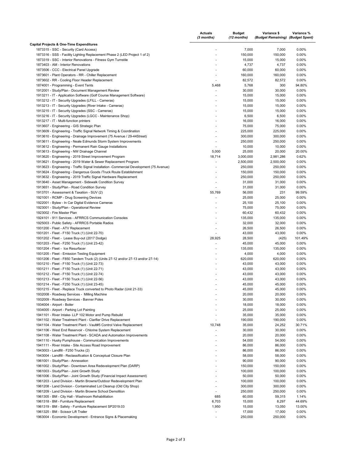|                                                                                                                       | <b>Actuals</b><br>(3 months)                         | Budget<br>(12 months) | Variance \$<br>(Budget Remaining) (Budget Spent) | Variance %     |
|-----------------------------------------------------------------------------------------------------------------------|------------------------------------------------------|-----------------------|--------------------------------------------------|----------------|
| Capital Projects & One-Time Expenditures                                                                              |                                                      |                       |                                                  |                |
| 1873315 - SSC - Security (Card Access)                                                                                |                                                      | 7,000                 | 7,000                                            | 0.00%          |
| 1873316 - SSS - Facility Lighting Replacement Phase 2 (LED Project 1 of 2)                                            |                                                      | 150,000               | 150,000                                          | 0.00%          |
| 1873319 - SSC - Interior Renovations - Fitness Gym Turnstile                                                          |                                                      | 15,000                | 15,000                                           | 0.00%          |
| 1873403 - AM - Interior Renovations                                                                                   | ٠                                                    | 4,737                 | 4,737                                            | 0.00%          |
| 1873506 - CCC - Electrical Panel Upgrade<br>1873601 - Plant Operators - RR - Chiller Replacement                      | $\overline{a}$                                       | 60,000<br>160,000     | 60,000<br>160,000                                | 0.00%<br>0.00% |
| 1873602 - RR - Cooling Floor Header Replacement                                                                       |                                                      | 82,572                | 82,572                                           | 0.00%          |
| 1874001 - Programming - Event Tents                                                                                   | 5,468                                                | 5,768                 | 300                                              | 94.80%         |
| 1912001 - Study/Plan - Document Management Review                                                                     | ÷,                                                   | 30,000                | 30,000                                           | 0.00%          |
| 1913211 - IT - Application Software (Golf Course Management Software)                                                 |                                                      | 15,000                | 15,000                                           | 0.00%          |
| 1913212 - IT - Security Upgrades (LFILL - Cameras)                                                                    |                                                      | 15,000                | 15,000                                           | 0.00%          |
| 1913213 - IT - Security Upgrades (River Intake - Cameras)                                                             |                                                      | 15,000                | 15,000                                           | 0.00%          |
| 1913215 - IT - Security Upgrades (SSC - Cameras)                                                                      |                                                      | 15,000                | 15,000                                           | 0.00%          |
| 1913216 - IT - Security Upgrades (LGCC - Maintenance Shop)                                                            | ٠                                                    | 6,500                 | 6,500                                            | 0.00%          |
| 1913217 - IT - Multi-function printers<br>1913607 - Engineering - GIS Strategic Plan                                  |                                                      | 16,000<br>75,000      | 16,000<br>75,000                                 | 0.00%<br>0.00% |
| 1913609 - Engineering - Traffic Signal Network Timing & Coordination                                                  |                                                      | 225,000               | 225,000                                          | 0.00%          |
| 1913610 - Engineering - Drainage Improvement (75 Avenue / 29-44Street)                                                |                                                      | 300,000               | 300,000                                          | 0.00%          |
| 1913611 - Engineering - Neale Edmunds Storm System Improvements                                                       | ä,                                                   | 250,000               | 250,000                                          | 0.00%          |
| 1913612 - Engineering - Permanent Rain Gauge Installations                                                            | ä,                                                   | 10,000                | 10,000                                           | 0.00%          |
| 1913613 - Engineering - NW Drainage Channel                                                                           | 5,000                                                | 25,000                | 20,000                                           | 20.00%         |
| 1913620 - Engineering - 2019 Street Improvement Program                                                               | 18,714                                               | 3,000,000             | 2,981,286                                        | 0.62%          |
| 1913621 - Engineering - 2019 Water & Sewer Replacement Program                                                        | ÷,                                                   | 2,500,000             | 2,500,000                                        | 0.00%          |
| 1913623 - Engineering - Traffic Signal Installation - Commercial Development (75 Avenue)                              | ٠                                                    | 250,000               | 250,000                                          | 0.00%          |
| 1913624 - Engineering - Dangerous Goods /Truck Route Establishment                                                    | ٠                                                    | 150,000               | 150,000                                          | 0.00%          |
| 1913632 - Engineering - 2019 Traffic Signal Hardware Replacement                                                      |                                                      | 250,000               | 250,000                                          | 0.00%          |
| 1913640 - Asset Management - Sidewalk Condition Survey<br>1913651 - Study/Plan - Road Condition Survey                | $\overline{\phantom{a}}$<br>$\overline{\phantom{a}}$ | 31,000<br>31,000      | 31,000<br>31,000                                 | 0.00%<br>0.00% |
| 1913701 - Assessment & Taxation - SUV (2)                                                                             | 55,769                                               | 56,000                | 231                                              | 99.59%         |
| 1921001 - RCMP - Drug Screening Devices                                                                               | $\overline{a}$                                       | 25,000                | 25,000                                           | 0.00%          |
| 1922001 - Bylaw - In Car Digital Evidence Cameras                                                                     | ä,                                                   | 25,100                | 25,100                                           | 0.00%          |
| 1923001 - Study/Plan - Operational Review                                                                             |                                                      | 75,000                | 75,000                                           | 0.00%          |
| 1923002 - Fire Master Plan                                                                                            | ٠                                                    | 60,432                | 60,432                                           | 0.00%          |
| 1924101 - 911 Services - AFRRCS Communication Consoles                                                                |                                                      | 135,000               | 135,000                                          | 0.00%          |
| 1925003 - Public Safety - AFRRCS Portable Radios                                                                      |                                                      | 32,000                | 32,000                                           | 0.00%          |
| 1931200 - Fleet - ATV Replacement                                                                                     |                                                      | 26,500                | 26,500                                           | 0.00%          |
| 1931201 - Fleet - F150 Truck (1) (Unit 22-70)                                                                         | ÷,                                                   | 43,000                | 43,000                                           | 0.00%          |
| 1931202 - Fleet - Lease Buy-out (2017 Dodge)                                                                          | 28,925                                               | 28,500                | (425)                                            | 101.49%        |
| 1931203 - Fleet - F250 Truck (1) (Unit 23-42)<br>1931204 - Fleet - Ice Resurfacer                                     | ÷,                                                   | 45,000<br>135,000     | 45,000<br>135,000                                | 0.00%<br>0.00% |
| 1931205 - Fleet - Emission Testing Equipment                                                                          |                                                      | 4,000                 | 4,000                                            | 0.00%          |
| 1931206 - Fleet - F850 Tandem Truck (2) (Units 27-12 and/or 27-13 and/or 27-14)                                       |                                                      | 620,000               | 620,000                                          | 0.00%          |
| 1931210 - Fleet - F150 Truck (1) (Unit 22-73)                                                                         |                                                      | 43,000                | 43,000                                           | 0.00%          |
| 1931211 - Fleet - F150 Truck (1) (Unit 22-71)                                                                         |                                                      | 43,000                | 43,000                                           | 0.00%          |
| 1931212 - Fleet - F150 Truck (1) (Unit 22-74)                                                                         |                                                      | 43,000                | 43,000                                           | 0.00%          |
| 1931213 - Fleet - F150 Truck (1) (Unit 22-56)                                                                         |                                                      | 43,000                | 43,000                                           | 0.00%          |
| 1931214 - Fleet - F250 Truck (1) (Unit 23-45)                                                                         |                                                      | 45.000                | 45,000                                           | 0.00%          |
| 1931215 - Fleet - Replace Truck converted to Photo Radar (Unit 21-33)<br>1932008 - Roadway Services - Milling Machine | ٠                                                    | 45,000                | 45,000                                           | $0.00\%$       |
| 1932009 - Roadway Services - Banner Poles                                                                             |                                                      | 20,000<br>30,000      | 20,000<br>30,000                                 | 0.00%<br>0.00% |
| 1934004 - Airport - Boiler                                                                                            |                                                      | 18,000                | 18,000                                           | 0.00%          |
| 1934005 - Airport - Parking Lot Painting                                                                              | ٠                                                    | 25,000                | 25,000                                           | 0.00%          |
| 1941101 - River Intake- LLP 102 Motor and Pump Rebuild                                                                | ٠                                                    | 35,000                | 35,000                                           | 0.00%          |
| 1941102 - Water Treatment Plant - Clarifier Drive Replacement                                                         | $\overline{\phantom{a}}$                             | 190,000               | 190,000                                          | 0.00%          |
| 1941104 - Water Treatment Plant - Vault#5 Control Valve Replacement                                                   | 10,748                                               | 35,000                | 24,252                                           | 30.71%         |
| 1941106 - West End Reservoir - Chlorine System Replacement                                                            | ÷,                                                   | 30,000                | 30,000                                           | 0.00%          |
| 1941108 - Water Treatment Plant - SCADA and Automation Improvements                                                   |                                                      | 20,000                | 20,000                                           | 0.00%          |
| 1941110 - Husky Pumphouse - Communication Improvements                                                                | ٠                                                    | 54,000                | 54,000                                           | 0.00%          |
| 1941111 - River Intake - Site Access Road Improvement                                                                 |                                                      | 86,000                | 86,000                                           | 0.00%          |
| 1943003 - Landfill - F250 Trucks (2)<br>1943004 - Landfill - Reclassification & Conceptual Closure Plan               |                                                      | 86,000<br>58,000      | 86,000<br>58,000                                 | 0.00%<br>0.00% |
| 1961001 - Study/Plan - Annexation                                                                                     | ٠                                                    | 90,000                | 90,000                                           | 0.00%          |
| 1961002 - Study/Plan - Downtown Area Redevelopment Plan (DARP)                                                        |                                                      | 150,000               | 150,000                                          | 0.00%          |
| 1961003 - Study/Plan - Joint Growth Study                                                                             |                                                      | 100,000               | 100,000                                          | 0.00%          |
| 1961006 - Study/Plan - Joint Growth Study (Financial Impact Assessment)                                               |                                                      | 50,000                | 50,000                                           | 0.00%          |
| 1961203 - Land Division - Martin Browne/Outdoor Redevelopment Plan                                                    |                                                      | 100,000               | 100,000                                          | 0.00%          |
| 1961208 - Land Division - Contaminated Lot Cleanup (Old City Shop)                                                    |                                                      | 300,000               | 300,000                                          | 0.00%          |
| 1961209 - Land Division - Martin Browne School Demolition                                                             | ÷,                                                   | 250,000               | 250,000                                          | 0.00%          |
| 1961305 - BM - City Hall - Washroom Rehabilitation                                                                    | 685                                                  | 60,000                | 59,315                                           | 1.14%          |
| 1961318 - BM - Furniture Replacement                                                                                  | 6,703                                                | 15,000                | 8,297                                            | 44.69%         |
| 1961319 - BM - Safety - Furniture Replacement SP2019.03                                                               | 1,950                                                | 15,000                | 13,050                                           | 13.00%         |
| 1961325 - BM - Scissor Lift Trailer<br>1963004 - Economic Development - Entrance Signs & Placemaking                  | $\overline{\phantom{a}}$<br>÷,                       | 17,000<br>250,000     | 17,000<br>250,000                                | 0.00%<br>0.00% |
|                                                                                                                       |                                                      |                       |                                                  |                |